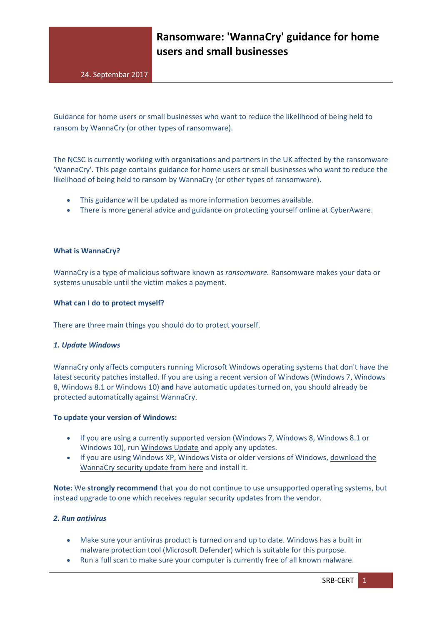Guidance for home users or small businesses who want to reduce the likelihood of being held to ransom by WannaCry (or other types of ransomware).

The NCSC is currently working with organisations and partners in the UK affected by the ransomware 'WannaCry'. This page contains guidance for home users or small businesses who want to reduce the likelihood of being held to ransom by WannaCry (or other types of ransomware).

- This guidance will be updated as more information becomes available.
- There is more general advice and guidance on protecting yourself online at [CyberAware.](http://www.cyberaware.gov.uk/)

## **What is WannaCry?**

WannaCry is a type of malicious software known as *ransomware.* Ransomware makes your data or systems unusable until the victim makes a payment.

## **What can I do to protect myself?**

There are three main things you should do to protect yourself.

## *1. Update Windows*

WannaCry only affects computers running Microsoft Windows operating systems that don't have the latest security patches installed. If you are using a recent version of Windows (Windows 7, Windows 8, Windows 8.1 or Windows 10) **and** have automatic updates turned on, you should already be protected automatically against WannaCry.

## **To update your version of Windows:**

- If you are using a currently supported version (Windows 7, Windows 8, Windows 8.1 or Windows 10), run [Windows Update](https://support.microsoft.com/en-us/help/12373) and apply any updates.
- If you are using Windows XP, Windows Vista or older versions of Windows, [download the](https://blogs.technet.microsoft.com/msrc/2017/05/12/customer-guidance-for-wannacrypt-attacks/)  [WannaCry security update from](https://blogs.technet.microsoft.com/msrc/2017/05/12/customer-guidance-for-wannacrypt-attacks/) [here](https://blogs.technet.microsoft.com/msrc/2017/05/12/customer-guidance-for-wannacrypt-attacks/) and install it.

**Note:** We **strongly recommend** that you do not continue to use unsupported operating systems, but instead upgrade to one which receives regular security updates from the vendor.

## *2. Run antivirus*

- Make sure your antivirus product is turned on and up to date. Windows has a built in malware protection tool [\(Microsoft Defender\)](https://www.microsoft.com/en-us/safety/pc-security/windows-defender.aspx) which is suitable for this purpose.
- Run a full scan to make sure your computer is currently free of all known malware.